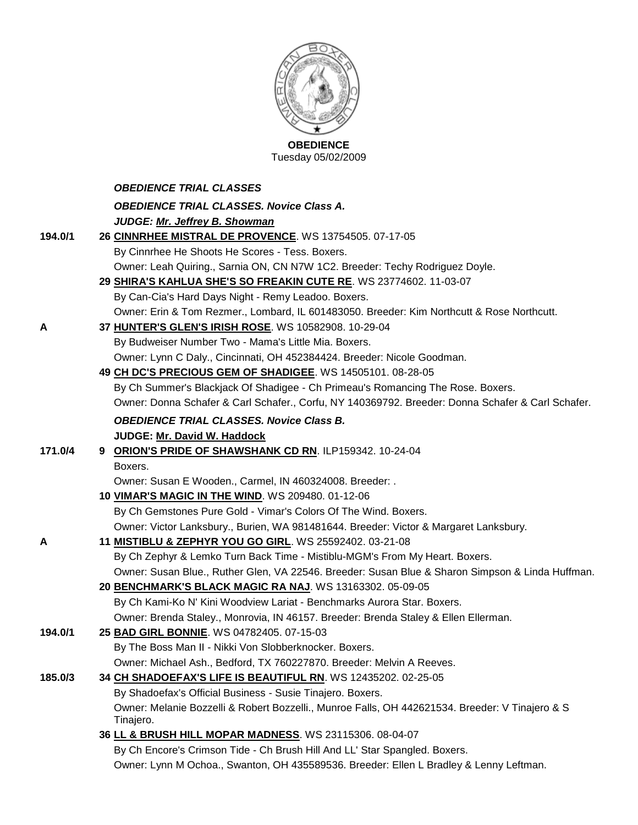

|         | <b>UBEDIENCE</b><br>Tuesday 05/02/2009                                                                       |
|---------|--------------------------------------------------------------------------------------------------------------|
|         | <b>OBEDIENCE TRIAL CLASSES</b>                                                                               |
|         | <b>OBEDIENCE TRIAL CLASSES. Novice Class A.</b>                                                              |
|         | JUDGE: Mr. Jeffrey B. Showman                                                                                |
| 194.0/1 | 26 CINNRHEE MISTRAL DE PROVENCE. WS 13754505. 07-17-05                                                       |
|         | By Cinnrhee He Shoots He Scores - Tess. Boxers.                                                              |
|         | Owner: Leah Quiring., Sarnia ON, CN N7W 1C2. Breeder: Techy Rodriguez Doyle.                                 |
|         | 29 SHIRA'S KAHLUA SHE'S SO FREAKIN CUTE RE. WS 23774602. 11-03-07                                            |
|         | By Can-Cia's Hard Days Night - Remy Leadoo. Boxers.                                                          |
|         | Owner: Erin & Tom Rezmer., Lombard, IL 601483050. Breeder: Kim Northcutt & Rose Northcutt.                   |
| A       | 37 HUNTER'S GLEN'S IRISH ROSE. WS 10582908. 10-29-04                                                         |
|         | By Budweiser Number Two - Mama's Little Mia. Boxers.                                                         |
|         | Owner: Lynn C Daly., Cincinnati, OH 452384424. Breeder: Nicole Goodman.                                      |
|         | 49 CH DC'S PRECIOUS GEM OF SHADIGEE. WS 14505101. 08-28-05                                                   |
|         | By Ch Summer's Blackjack Of Shadigee - Ch Primeau's Romancing The Rose. Boxers.                              |
|         | Owner: Donna Schafer & Carl Schafer., Corfu, NY 140369792. Breeder: Donna Schafer & Carl Schafer.            |
|         | <b>OBEDIENCE TRIAL CLASSES. Novice Class B.</b>                                                              |
|         | JUDGE: Mr. David W. Haddock                                                                                  |
| 171.0/4 | 9 ORION'S PRIDE OF SHAWSHANK CD RN. ILP159342. 10-24-04                                                      |
|         | Boxers.                                                                                                      |
|         | Owner: Susan E Wooden., Carmel, IN 460324008. Breeder: .                                                     |
|         | 10 VIMAR'S MAGIC IN THE WIND. WS 209480. 01-12-06                                                            |
|         | By Ch Gemstones Pure Gold - Vimar's Colors Of The Wind. Boxers.                                              |
|         | Owner: Victor Lanksbury., Burien, WA 981481644. Breeder: Victor & Margaret Lanksbury.                        |
| А       | 11 <b>MISTIBLU &amp; ZEPHYR YOU GO GIRL</b> . WS 25592402. 03-21-08                                          |
|         | By Ch Zephyr & Lemko Turn Back Time - Mistiblu-MGM's From My Heart. Boxers.                                  |
|         | Owner: Susan Blue., Ruther Glen, VA 22546. Breeder: Susan Blue & Sharon Simpson & Linda Huffman.             |
|         | 20 BENCHMARK'S BLACK MAGIC RA NAJ. WS 13163302. 05-09-05                                                     |
|         | By Ch Kami-Ko N' Kini Woodview Lariat - Benchmarks Aurora Star. Boxers.                                      |
|         | Owner: Brenda Staley., Monrovia, IN 46157. Breeder: Brenda Staley & Ellen Ellerman.                          |
| 194.0/1 | 25 BAD GIRL BONNIE. WS 04782405. 07-15-03                                                                    |
|         | By The Boss Man II - Nikki Von Slobberknocker. Boxers.                                                       |
|         | Owner: Michael Ash., Bedford, TX 760227870. Breeder: Melvin A Reeves.                                        |
| 185.0/3 | 34 CH SHADOEFAX'S LIFE IS BEAUTIFUL RN. WS 12435202. 02-25-05                                                |
|         | By Shadoefax's Official Business - Susie Tinajero. Boxers.                                                   |
|         | Owner: Melanie Bozzelli & Robert Bozzelli., Munroe Falls, OH 442621534. Breeder: V Tinajero & S<br>Tinajero. |

**36 [LL & BRUSH HILL MOPAR MADNESS](http://canis.infodog.com/files/bdogrsl1.prg;makc=WS_23115306;mdog=LL_&_Brush_Hill_Mopar_Madness;wins=all)**. WS 23115306. 08-04-07 By Ch Encore's Crimson Tide - Ch Brush Hill And LL' Star Spangled. Boxers. Owner: Lynn M Ochoa., Swanton, OH 435589536. Breeder: Ellen L Bradley & Lenny Leftman.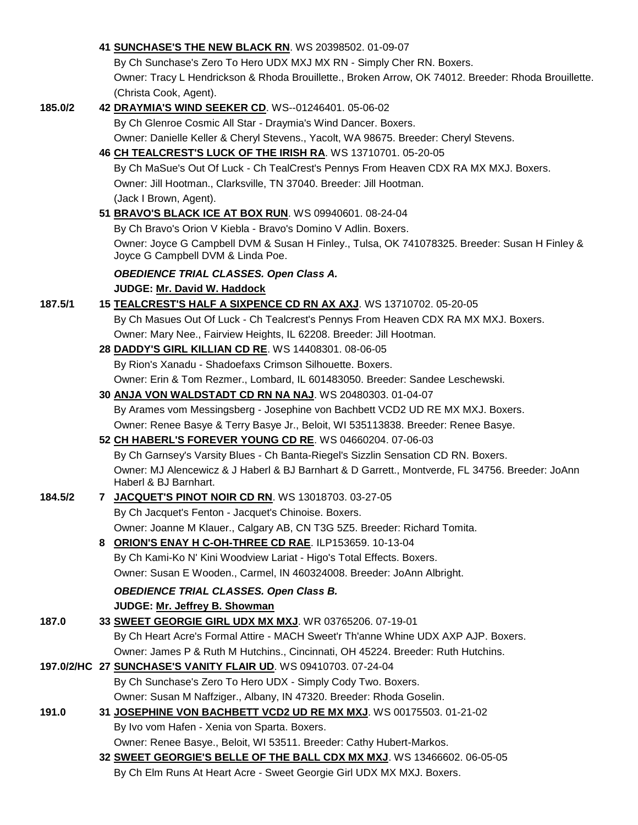|         |   | 41 SUNCHASE'S THE NEW BLACK RN. WS 20398502. 01-09-07                                                                              |
|---------|---|------------------------------------------------------------------------------------------------------------------------------------|
|         |   | By Ch Sunchase's Zero To Hero UDX MXJ MX RN - Simply Cher RN. Boxers.                                                              |
|         |   | Owner: Tracy L Hendrickson & Rhoda Brouillette., Broken Arrow, OK 74012. Breeder: Rhoda Brouillette.                               |
|         |   | (Christa Cook, Agent).                                                                                                             |
| 185.0/2 |   | 42 DRAYMIA'S WIND SEEKER CD. WS--01246401. 05-06-02                                                                                |
|         |   | By Ch Glenroe Cosmic All Star - Draymia's Wind Dancer. Boxers.                                                                     |
|         |   | Owner: Danielle Keller & Cheryl Stevens., Yacolt, WA 98675. Breeder: Cheryl Stevens.                                               |
|         |   | 46 CH TEALCREST'S LUCK OF THE IRISH RA. WS 13710701. 05-20-05                                                                      |
|         |   | By Ch MaSue's Out Of Luck - Ch TealCrest's Pennys From Heaven CDX RA MX MXJ. Boxers.                                               |
|         |   | Owner: Jill Hootman., Clarksville, TN 37040. Breeder: Jill Hootman.                                                                |
|         |   | (Jack I Brown, Agent).                                                                                                             |
|         |   |                                                                                                                                    |
|         |   | 51 BRAVO'S BLACK ICE AT BOX RUN. WS 09940601. 08-24-04                                                                             |
|         |   | By Ch Bravo's Orion V Kiebla - Bravo's Domino V Adlin. Boxers.                                                                     |
|         |   | Owner: Joyce G Campbell DVM & Susan H Finley., Tulsa, OK 741078325. Breeder: Susan H Finley &<br>Joyce G Campbell DVM & Linda Poe. |
|         |   | <b>OBEDIENCE TRIAL CLASSES. Open Class A.</b>                                                                                      |
|         |   | JUDGE: Mr. David W. Haddock                                                                                                        |
| 187.5/1 |   | 15 TEALCREST'S HALF A SIXPENCE CD RN AX AXJ. WS 13710702. 05-20-05                                                                 |
|         |   | By Ch Masues Out Of Luck - Ch Tealcrest's Pennys From Heaven CDX RA MX MXJ. Boxers.                                                |
|         |   | Owner: Mary Nee., Fairview Heights, IL 62208. Breeder: Jill Hootman.                                                               |
|         |   | 28 DADDY'S GIRL KILLIAN CD RE. WS 14408301. 08-06-05                                                                               |
|         |   | By Rion's Xanadu - Shadoefaxs Crimson Silhouette. Boxers.                                                                          |
|         |   | Owner: Erin & Tom Rezmer., Lombard, IL 601483050. Breeder: Sandee Leschewski.                                                      |
|         |   | 30 ANJA VON WALDSTADT CD RN NA NAJ. WS 20480303. 01-04-07                                                                          |
|         |   | By Arames vom Messingsberg - Josephine von Bachbett VCD2 UD RE MX MXJ. Boxers.                                                     |
|         |   | Owner: Renee Basye & Terry Basye Jr., Beloit, WI 535113838. Breeder: Renee Basye.                                                  |
|         |   | 52 CH HABERL'S FOREVER YOUNG CD RE. WS 04660204. 07-06-03                                                                          |
|         |   | By Ch Garnsey's Varsity Blues - Ch Banta-Riegel's Sizzlin Sensation CD RN. Boxers.                                                 |
|         |   | Owner: MJ Alencewicz & J Haberl & BJ Barnhart & D Garrett., Montverde, FL 34756. Breeder: JoAnn                                    |
|         |   | Haberl & BJ Barnhart.                                                                                                              |
| 184.5/2 |   | 7 JACQUET'S PINOT NOIR CD RN. WS 13018703. 03-27-05                                                                                |
|         |   | By Ch Jacquet's Fenton - Jacquet's Chinoise. Boxers.                                                                               |
|         |   | Owner: Joanne M Klauer., Calgary AB, CN T3G 5Z5. Breeder: Richard Tomita.                                                          |
|         | 8 | ORION'S ENAY H C-OH-THREE CD RAE. ILP153659. 10-13-04                                                                              |
|         |   | By Ch Kami-Ko N' Kini Woodview Lariat - Higo's Total Effects. Boxers.                                                              |
|         |   | Owner: Susan E Wooden., Carmel, IN 460324008. Breeder: JoAnn Albright.                                                             |
|         |   | <b>OBEDIENCE TRIAL CLASSES. Open Class B.</b>                                                                                      |
|         |   | JUDGE: Mr. Jeffrey B. Showman                                                                                                      |
| 187.0   |   | 33 SWEET GEORGIE GIRL UDX MX MXJ. WR 03765206. 07-19-01                                                                            |
|         |   | By Ch Heart Acre's Formal Attire - MACH Sweet'r Th'anne Whine UDX AXP AJP. Boxers.                                                 |
|         |   | Owner: James P & Ruth M Hutchins., Cincinnati, OH 45224. Breeder: Ruth Hutchins.                                                   |
|         |   | 197.0/2/HC 27 SUNCHASE'S VANITY FLAIR UD. WS 09410703. 07-24-04                                                                    |
|         |   |                                                                                                                                    |
|         |   | By Ch Sunchase's Zero To Hero UDX - Simply Cody Two. Boxers.                                                                       |
|         |   | Owner: Susan M Naffziger., Albany, IN 47320. Breeder: Rhoda Goselin.                                                               |
| 191.0   |   | 31 JOSEPHINE VON BACHBETT VCD2 UD RE MX MXJ. WS 00175503. 01-21-02                                                                 |
|         |   | By Ivo vom Hafen - Xenia von Sparta. Boxers.                                                                                       |
|         |   | Owner: Renee Basye., Beloit, WI 53511. Breeder: Cathy Hubert-Markos.                                                               |
|         |   | 32 SWEET GEORGIE'S BELLE OF THE BALL CDX MX MXJ. WS 13466602. 06-05-05                                                             |
|         |   | By Ch Elm Runs At Heart Acre - Sweet Georgie Girl UDX MX MXJ. Boxers.                                                              |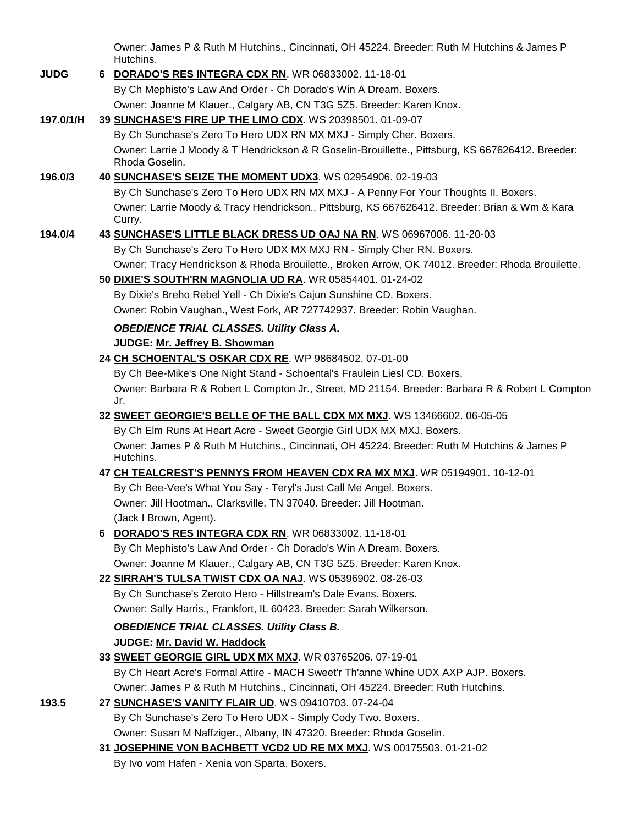Owner: James P & Ruth M Hutchins., Cincinnati, OH 45224. Breeder: Ruth M Hutchins & James P Hutchins.

| <b>JUDG</b> | 6 DORADO'S RES INTEGRA CDX RN. WR 06833002. 11-18-01                                                                |
|-------------|---------------------------------------------------------------------------------------------------------------------|
|             | By Ch Mephisto's Law And Order - Ch Dorado's Win A Dream. Boxers.                                                   |
|             | Owner: Joanne M Klauer., Calgary AB, CN T3G 5Z5. Breeder: Karen Knox.                                               |
| 197.0/1/H   | 39 SUNCHASE'S FIRE UP THE LIMO CDX. WS 20398501. 01-09-07                                                           |
|             | By Ch Sunchase's Zero To Hero UDX RN MX MXJ - Simply Cher. Boxers.                                                  |
|             | Owner: Larrie J Moody & T Hendrickson & R Goselin-Brouillette., Pittsburg, KS 667626412. Breeder:<br>Rhoda Goselin. |
| 196.0/3     | 40 SUNCHASE'S SEIZE THE MOMENT UDX3. WS 02954906. 02-19-03                                                          |
|             | By Ch Sunchase's Zero To Hero UDX RN MX MXJ - A Penny For Your Thoughts II. Boxers.                                 |
|             | Owner: Larrie Moody & Tracy Hendrickson., Pittsburg, KS 667626412. Breeder: Brian & Wm & Kara<br>Curry.             |
| 194.0/4     | 43 SUNCHASE'S LITTLE BLACK DRESS UD OAJ NA RN. WS 06967006. 11-20-03                                                |
|             | By Ch Sunchase's Zero To Hero UDX MX MXJ RN - Simply Cher RN. Boxers.                                               |
|             | Owner: Tracy Hendrickson & Rhoda Brouilette., Broken Arrow, OK 74012. Breeder: Rhoda Brouilette.                    |
|             | 50 DIXIE'S SOUTH'RN MAGNOLIA UD RA. WR 05854401. 01-24-02                                                           |
|             | By Dixie's Breho Rebel Yell - Ch Dixie's Cajun Sunshine CD. Boxers.                                                 |
|             | Owner: Robin Vaughan., West Fork, AR 727742937. Breeder: Robin Vaughan.                                             |
|             | <b>OBEDIENCE TRIAL CLASSES. Utility Class A.</b>                                                                    |
|             | JUDGE: Mr. Jeffrey B. Showman                                                                                       |
|             | 24 CH SCHOENTAL'S OSKAR CDX RE. WP 98684502. 07-01-00                                                               |
|             | By Ch Bee-Mike's One Night Stand - Schoental's Fraulein Liesl CD. Boxers.                                           |
|             | Owner: Barbara R & Robert L Compton Jr., Street, MD 21154. Breeder: Barbara R & Robert L Compton<br>Jr.             |
|             | 32 SWEET GEORGIE'S BELLE OF THE BALL CDX MX MXJ. WS 13466602. 06-05-05                                              |
|             | By Ch Elm Runs At Heart Acre - Sweet Georgie Girl UDX MX MXJ. Boxers.                                               |
|             | Owner: James P & Ruth M Hutchins., Cincinnati, OH 45224. Breeder: Ruth M Hutchins & James P<br>Hutchins.            |
|             | 47 CH TEALCREST'S PENNYS FROM HEAVEN CDX RA MX MXJ. WR 05194901. 10-12-01                                           |
|             | By Ch Bee-Vee's What You Say - Teryl's Just Call Me Angel. Boxers.                                                  |
|             | Owner: Jill Hootman., Clarksville, TN 37040. Breeder: Jill Hootman.                                                 |
|             | (Jack I Brown, Agent).                                                                                              |
|             | 6 DORADO'S RES INTEGRA CDX RN. WR 06833002. 11-18-01                                                                |
|             | By Ch Mephisto's Law And Order - Ch Dorado's Win A Dream. Boxers.                                                   |
|             | Owner: Joanne M Klauer., Calgary AB, CN T3G 5Z5. Breeder: Karen Knox.                                               |
|             | 22 SIRRAH'S TULSA TWIST CDX OA NAJ. WS 05396902. 08-26-03                                                           |
|             | By Ch Sunchase's Zeroto Hero - Hillstream's Dale Evans. Boxers.                                                     |
|             | Owner: Sally Harris., Frankfort, IL 60423. Breeder: Sarah Wilkerson.                                                |
|             | <b>OBEDIENCE TRIAL CLASSES. Utility Class B.</b>                                                                    |
|             | JUDGE: Mr. David W. Haddock                                                                                         |
|             | 33 SWEET GEORGIE GIRL UDX MX MXJ. WR 03765206. 07-19-01                                                             |
|             | By Ch Heart Acre's Formal Attire - MACH Sweet'r Th'anne Whine UDX AXP AJP. Boxers.                                  |
|             | Owner: James P & Ruth M Hutchins., Cincinnati, OH 45224. Breeder: Ruth Hutchins.                                    |
| 193.5       | 27 SUNCHASE'S VANITY FLAIR UD. WS 09410703. 07-24-04                                                                |
|             | By Ch Sunchase's Zero To Hero UDX - Simply Cody Two. Boxers.                                                        |
|             | Owner: Susan M Naffziger., Albany, IN 47320. Breeder: Rhoda Goselin.                                                |
|             | 31 JOSEPHINE VON BACHBETT VCD2 UD RE MX MXJ. WS 00175503. 01-21-02                                                  |

By Ivo vom Hafen - Xenia von Sparta. Boxers.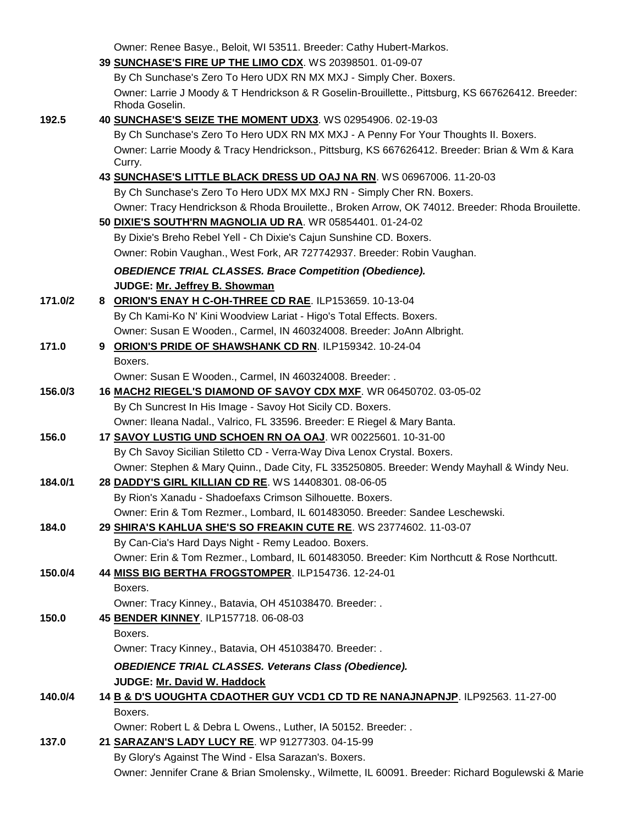|         | Owner: Renee Basye., Beloit, WI 53511. Breeder: Cathy Hubert-Markos.                                                                              |
|---------|---------------------------------------------------------------------------------------------------------------------------------------------------|
|         | 39 SUNCHASE'S FIRE UP THE LIMO CDX. WS 20398501. 01-09-07                                                                                         |
|         | By Ch Sunchase's Zero To Hero UDX RN MX MXJ - Simply Cher. Boxers.                                                                                |
|         | Owner: Larrie J Moody & T Hendrickson & R Goselin-Brouillette., Pittsburg, KS 667626412. Breeder:                                                 |
|         | Rhoda Goselin.                                                                                                                                    |
| 192.5   | 40 SUNCHASE'S SEIZE THE MOMENT UDX3. WS 02954906. 02-19-03                                                                                        |
|         | By Ch Sunchase's Zero To Hero UDX RN MX MXJ - A Penny For Your Thoughts II. Boxers.                                                               |
|         | Owner: Larrie Moody & Tracy Hendrickson., Pittsburg, KS 667626412. Breeder: Brian & Wm & Kara<br>Curry.                                           |
|         | 43 SUNCHASE'S LITTLE BLACK DRESS UD OAJ NA RN. WS 06967006. 11-20-03                                                                              |
|         | By Ch Sunchase's Zero To Hero UDX MX MXJ RN - Simply Cher RN. Boxers.                                                                             |
|         | Owner: Tracy Hendrickson & Rhoda Brouilette., Broken Arrow, OK 74012. Breeder: Rhoda Brouilette.                                                  |
|         | 50 DIXIE'S SOUTH'RN MAGNOLIA UD RA. WR 05854401. 01-24-02                                                                                         |
|         | By Dixie's Breho Rebel Yell - Ch Dixie's Cajun Sunshine CD. Boxers.                                                                               |
|         | Owner: Robin Vaughan., West Fork, AR 727742937. Breeder: Robin Vaughan.                                                                           |
|         | <b>OBEDIENCE TRIAL CLASSES. Brace Competition (Obedience).</b>                                                                                    |
|         | JUDGE: Mr. Jeffrey B. Showman                                                                                                                     |
| 171.0/2 | 8 ORION'S ENAY H C-OH-THREE CD RAE. ILP153659. 10-13-04                                                                                           |
|         | By Ch Kami-Ko N' Kini Woodview Lariat - Higo's Total Effects. Boxers.                                                                             |
|         | Owner: Susan E Wooden., Carmel, IN 460324008. Breeder: JoAnn Albright.                                                                            |
| 171.0   | 9 ORION'S PRIDE OF SHAWSHANK CD RN. ILP159342. 10-24-04                                                                                           |
|         | Boxers.                                                                                                                                           |
|         | Owner: Susan E Wooden., Carmel, IN 460324008. Breeder: .                                                                                          |
| 156.0/3 | 16 MACH2 RIEGEL'S DIAMOND OF SAVOY CDX MXF. WR 06450702. 03-05-02                                                                                 |
|         | By Ch Suncrest In His Image - Savoy Hot Sicily CD. Boxers.                                                                                        |
|         | Owner: Ileana Nadal., Valrico, FL 33596. Breeder: E Riegel & Mary Banta.                                                                          |
| 156.0   | 17 SAVOY LUSTIG UND SCHOEN RN OA OAJ. WR 00225601. 10-31-00                                                                                       |
|         | By Ch Savoy Sicilian Stiletto CD - Verra-Way Diva Lenox Crystal. Boxers.                                                                          |
|         | Owner: Stephen & Mary Quinn., Dade City, FL 335250805. Breeder: Wendy Mayhall & Windy Neu.                                                        |
| 184.0/1 | 28 DADDY'S GIRL KILLIAN CD RE. WS 14408301. 08-06-05                                                                                              |
|         | By Rion's Xanadu - Shadoefaxs Crimson Silhouette. Boxers.                                                                                         |
|         | Owner: Erin & Tom Rezmer., Lombard, IL 601483050. Breeder: Sandee Leschewski.                                                                     |
| 184.0   | 29 SHIRA'S KAHLUA SHE'S SO FREAKIN CUTE RE. WS 23774602. 11-03-07                                                                                 |
|         | By Can-Cia's Hard Days Night - Remy Leadoo. Boxers.                                                                                               |
| 150.0/4 | Owner: Erin & Tom Rezmer., Lombard, IL 601483050. Breeder: Kim Northcutt & Rose Northcutt.<br>44 MISS BIG BERTHA FROGSTOMPER. ILP154736. 12-24-01 |
|         | Boxers.                                                                                                                                           |
|         | Owner: Tracy Kinney., Batavia, OH 451038470. Breeder: .                                                                                           |
| 150.0   | 45 BENDER KINNEY. ILP157718. 06-08-03                                                                                                             |
|         | Boxers.                                                                                                                                           |
|         | Owner: Tracy Kinney., Batavia, OH 451038470. Breeder: .                                                                                           |
|         |                                                                                                                                                   |
|         | <b>OBEDIENCE TRIAL CLASSES. Veterans Class (Obedience).</b>                                                                                       |
| 140.0/4 | JUDGE: Mr. David W. Haddock<br>14 B & D'S UOUGHTA CDAOTHER GUY VCD1 CD TD RE NANAJNAPNJP. ILP92563. 11-27-00                                      |
|         | Boxers.                                                                                                                                           |
|         | Owner: Robert L & Debra L Owens., Luther, IA 50152. Breeder: .                                                                                    |
| 137.0   | 21 SARAZAN'S LADY LUCY RE. WP 91277303. 04-15-99                                                                                                  |
|         | By Glory's Against The Wind - Elsa Sarazan's. Boxers.                                                                                             |
|         | Owner: Jennifer Crane & Brian Smolensky., Wilmette, IL 60091. Breeder: Richard Bogulewski & Marie                                                 |
|         |                                                                                                                                                   |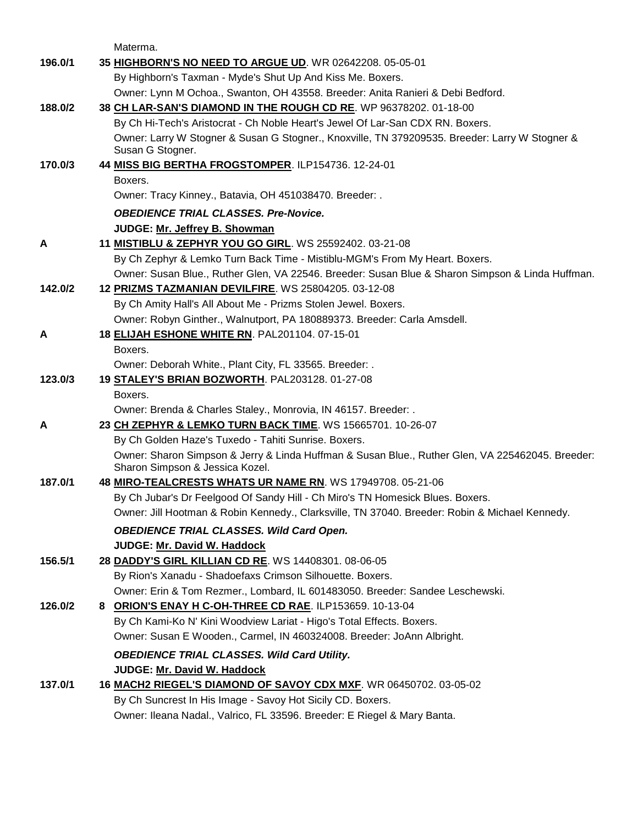Materma.

| 196.0/1 | 35 HIGHBORN'S NO NEED TO ARGUE UD. WR 02642208. 05-05-01                                                                            |
|---------|-------------------------------------------------------------------------------------------------------------------------------------|
|         | By Highborn's Taxman - Myde's Shut Up And Kiss Me. Boxers.                                                                          |
|         | Owner: Lynn M Ochoa., Swanton, OH 43558. Breeder: Anita Ranieri & Debi Bedford.                                                     |
| 188.0/2 | 38 CH LAR-SAN'S DIAMOND IN THE ROUGH CD RE. WP 96378202. 01-18-00                                                                   |
|         | By Ch Hi-Tech's Aristocrat - Ch Noble Heart's Jewel Of Lar-San CDX RN. Boxers.                                                      |
|         | Owner: Larry W Stogner & Susan G Stogner., Knoxville, TN 379209535. Breeder: Larry W Stogner &<br>Susan G Stogner.                  |
| 170.0/3 | 44 MISS BIG BERTHA FROGSTOMPER. ILP154736. 12-24-01                                                                                 |
|         | Boxers.                                                                                                                             |
|         | Owner: Tracy Kinney., Batavia, OH 451038470. Breeder: .                                                                             |
|         | <b>OBEDIENCE TRIAL CLASSES. Pre-Novice.</b>                                                                                         |
|         | JUDGE: Mr. Jeffrey B. Showman                                                                                                       |
| A       | 11 <b>MISTIBLU &amp; ZEPHYR YOU GO GIRL</b> . WS 25592402. 03-21-08                                                                 |
|         | By Ch Zephyr & Lemko Turn Back Time - Mistiblu-MGM's From My Heart. Boxers.                                                         |
|         | Owner: Susan Blue., Ruther Glen, VA 22546. Breeder: Susan Blue & Sharon Simpson & Linda Huffman.                                    |
| 142.0/2 | 12 PRIZMS TAZMANIAN DEVILFIRE. WS 25804205. 03-12-08                                                                                |
|         | By Ch Amity Hall's All About Me - Prizms Stolen Jewel. Boxers.                                                                      |
|         | Owner: Robyn Ginther., Walnutport, PA 180889373. Breeder: Carla Amsdell.                                                            |
| A       | 18 ELIJAH ESHONE WHITE RN. PAL201104. 07-15-01                                                                                      |
|         | Boxers.                                                                                                                             |
|         | Owner: Deborah White., Plant City, FL 33565. Breeder: .                                                                             |
| 123.0/3 | 19 STALEY'S BRIAN BOZWORTH. PAL203128. 01-27-08                                                                                     |
|         | Boxers.                                                                                                                             |
|         | Owner: Brenda & Charles Staley., Monrovia, IN 46157. Breeder: .                                                                     |
| A       | 23 CH ZEPHYR & LEMKO TURN BACK TIME. WS 15665701. 10-26-07                                                                          |
|         | By Ch Golden Haze's Tuxedo - Tahiti Sunrise. Boxers.                                                                                |
|         | Owner: Sharon Simpson & Jerry & Linda Huffman & Susan Blue., Ruther Glen, VA 225462045. Breeder:<br>Sharon Simpson & Jessica Kozel. |
| 187.0/1 | 48 MIRO-TEALCRESTS WHATS UR NAME RN. WS 17949708. 05-21-06                                                                          |
|         | By Ch Jubar's Dr Feelgood Of Sandy Hill - Ch Miro's TN Homesick Blues. Boxers.                                                      |
|         | Owner: Jill Hootman & Robin Kennedy., Clarksville, TN 37040. Breeder: Robin & Michael Kennedy.                                      |
|         | <b>OBEDIENCE TRIAL CLASSES. Wild Card Open.</b>                                                                                     |
|         | JUDGE: Mr. David W. Haddock                                                                                                         |
| 156.5/1 | 28 DADDY'S GIRL KILLIAN CD RE. WS 14408301. 08-06-05                                                                                |
|         | By Rion's Xanadu - Shadoefaxs Crimson Silhouette. Boxers.                                                                           |
|         | Owner: Erin & Tom Rezmer., Lombard, IL 601483050. Breeder: Sandee Leschewski.                                                       |
| 126.0/2 | 8 ORION'S ENAY H C-OH-THREE CD RAE. ILP153659. 10-13-04                                                                             |
|         | By Ch Kami-Ko N' Kini Woodview Lariat - Higo's Total Effects. Boxers.                                                               |
|         | Owner: Susan E Wooden., Carmel, IN 460324008. Breeder: JoAnn Albright.                                                              |
|         | <b>OBEDIENCE TRIAL CLASSES. Wild Card Utility.</b>                                                                                  |
|         | JUDGE: Mr. David W. Haddock                                                                                                         |
| 137.0/1 | 16 MACH2 RIEGEL'S DIAMOND OF SAVOY CDX MXF. WR 06450702. 03-05-02                                                                   |
|         | By Ch Suncrest In His Image - Savoy Hot Sicily CD. Boxers.                                                                          |
|         | Owner: Ileana Nadal., Valrico, FL 33596. Breeder: E Riegel & Mary Banta.                                                            |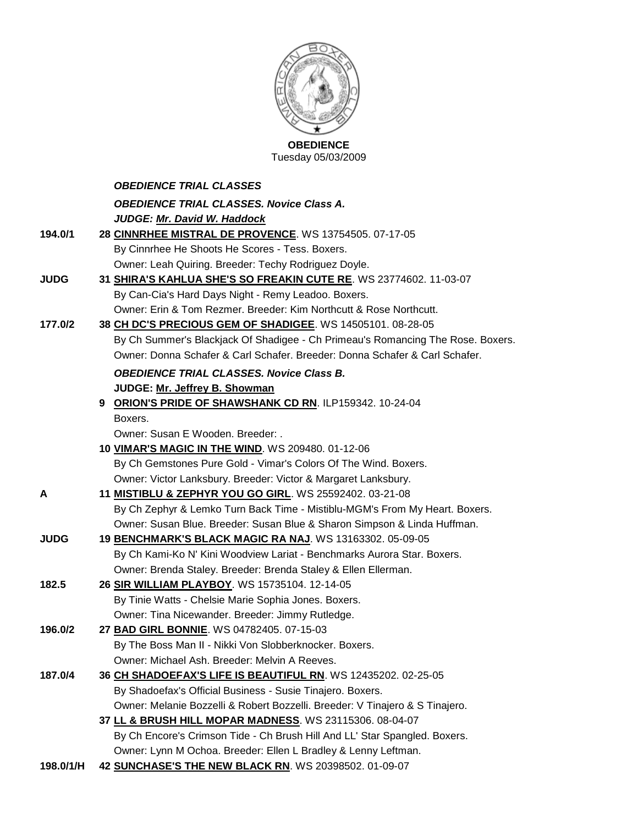

Tuesday 05/03/2009

|             | <b>OBEDIENCE TRIAL CLASSES</b>                                                  |
|-------------|---------------------------------------------------------------------------------|
|             | <b>OBEDIENCE TRIAL CLASSES. Novice Class A.</b>                                 |
|             | JUDGE: Mr. David W. Haddock                                                     |
| 194.0/1     | 28 CINNRHEE MISTRAL DE PROVENCE. WS 13754505. 07-17-05                          |
|             | By Cinnrhee He Shoots He Scores - Tess. Boxers.                                 |
|             | Owner: Leah Quiring. Breeder: Techy Rodriguez Doyle.                            |
| <b>JUDG</b> | 31 SHIRA'S KAHLUA SHE'S SO FREAKIN CUTE RE. WS 23774602. 11-03-07               |
|             | By Can-Cia's Hard Days Night - Remy Leadoo. Boxers.                             |
|             | Owner: Erin & Tom Rezmer. Breeder: Kim Northcutt & Rose Northcutt.              |
| 177.0/2     | 38 CH DC'S PRECIOUS GEM OF SHADIGEE. WS 14505101. 08-28-05                      |
|             | By Ch Summer's Blackjack Of Shadigee - Ch Primeau's Romancing The Rose. Boxers. |
|             | Owner: Donna Schafer & Carl Schafer. Breeder: Donna Schafer & Carl Schafer.     |
|             | <b>OBEDIENCE TRIAL CLASSES. Novice Class B.</b>                                 |
|             | JUDGE: Mr. Jeffrey B. Showman                                                   |
|             | 9 ORION'S PRIDE OF SHAWSHANK CD RN. ILP159342. 10-24-04                         |
|             | Boxers.                                                                         |
|             | Owner: Susan E Wooden. Breeder: .                                               |
|             | 10 VIMAR'S MAGIC IN THE WIND. WS 209480. 01-12-06                               |
|             | By Ch Gemstones Pure Gold - Vimar's Colors Of The Wind. Boxers.                 |
|             | Owner: Victor Lanksbury. Breeder: Victor & Margaret Lanksbury.                  |
| Α           | 11 <b>MISTIBLU &amp; ZEPHYR YOU GO GIRL</b> . WS 25592402. 03-21-08             |
|             | By Ch Zephyr & Lemko Turn Back Time - Mistiblu-MGM's From My Heart. Boxers.     |
|             | Owner: Susan Blue. Breeder: Susan Blue & Sharon Simpson & Linda Huffman.        |
| <b>JUDG</b> | 19 BENCHMARK'S BLACK MAGIC RA NAJ. WS 13163302. 05-09-05                        |
|             | By Ch Kami-Ko N' Kini Woodview Lariat - Benchmarks Aurora Star. Boxers.         |
|             | Owner: Brenda Staley. Breeder: Brenda Staley & Ellen Ellerman.                  |
| 182.5       | 26 SIR WILLIAM PLAYBOY. WS 15735104. 12-14-05                                   |
|             | By Tinie Watts - Chelsie Marie Sophia Jones. Boxers.                            |
|             | Owner: Tina Nicewander. Breeder: Jimmy Rutledge.                                |
| 196.0/2     | 27 BAD GIRL BONNIE. WS 04782405. 07-15-03                                       |
|             | By The Boss Man II - Nikki Von Slobberknocker. Boxers.                          |
|             | Owner: Michael Ash. Breeder: Melvin A Reeves.                                   |
| 187.0/4     | 36 CH SHADOEFAX'S LIFE IS BEAUTIFUL RN. WS 12435202. 02-25-05                   |
|             | By Shadoefax's Official Business - Susie Tinajero. Boxers.                      |
|             | Owner: Melanie Bozzelli & Robert Bozzelli. Breeder: V Tinajero & S Tinajero.    |
|             | 37 LL & BRUSH HILL MOPAR MADNESS. WS 23115306. 08-04-07                         |
|             | By Ch Encore's Crimson Tide - Ch Brush Hill And LL' Star Spangled. Boxers.      |
|             | Owner: Lynn M Ochoa. Breeder: Ellen L Bradley & Lenny Leftman.                  |

**198.0/1/H 42 [SUNCHASE'S THE NEW BLACK RN](http://canis.infodog.com/files/bdogrsl1.prg;makc=WS_20398502;mdog=Sunchase_s_The_New_Black_RN;wins=all)**. WS 20398502. 01-09-07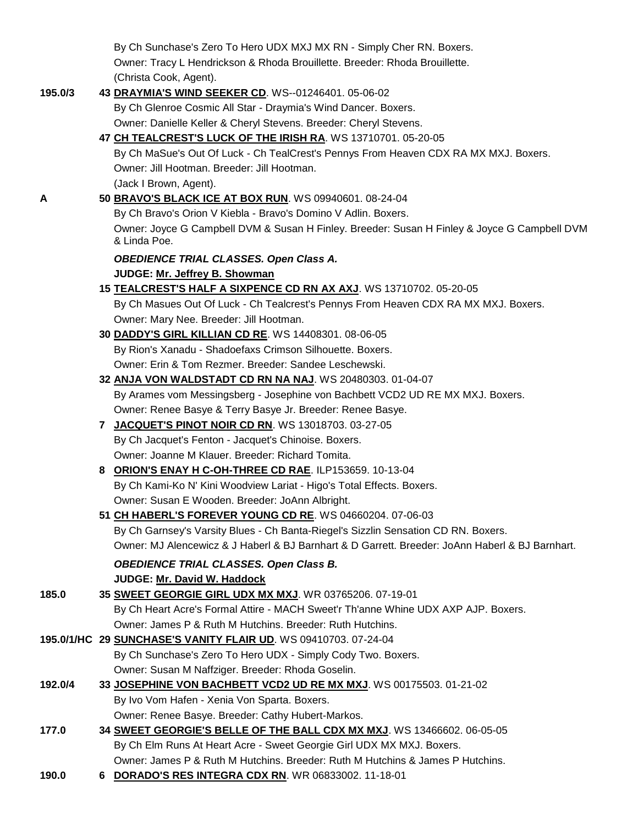|         |   | By Ch Sunchase's Zero To Hero UDX MXJ MX RN - Simply Cher RN. Boxers.                                        |
|---------|---|--------------------------------------------------------------------------------------------------------------|
|         |   | Owner: Tracy L Hendrickson & Rhoda Brouillette. Breeder: Rhoda Brouillette.                                  |
|         |   | (Christa Cook, Agent).                                                                                       |
| 195.0/3 |   | 43 DRAYMIA'S WIND SEEKER CD. WS--01246401. 05-06-02                                                          |
|         |   | By Ch Glenroe Cosmic All Star - Draymia's Wind Dancer. Boxers.                                               |
|         |   | Owner: Danielle Keller & Cheryl Stevens. Breeder: Cheryl Stevens.                                            |
|         |   | 47 CH TEALCREST'S LUCK OF THE IRISH RA. WS 13710701. 05-20-05                                                |
|         |   | By Ch MaSue's Out Of Luck - Ch TealCrest's Pennys From Heaven CDX RA MX MXJ. Boxers.                         |
|         |   | Owner: Jill Hootman, Breeder: Jill Hootman,                                                                  |
|         |   | (Jack I Brown, Agent).                                                                                       |
| Α       |   | 50 BRAVO'S BLACK ICE AT BOX RUN. WS 09940601. 08-24-04                                                       |
|         |   | By Ch Bravo's Orion V Kiebla - Bravo's Domino V Adlin. Boxers.                                               |
|         |   | Owner: Joyce G Campbell DVM & Susan H Finley. Breeder: Susan H Finley & Joyce G Campbell DVM<br>& Linda Poe. |
|         |   | <b>OBEDIENCE TRIAL CLASSES. Open Class A.</b>                                                                |
|         |   | JUDGE: Mr. Jeffrey B. Showman                                                                                |
|         |   | 15 TEALCREST'S HALF A SIXPENCE CD RN AX AXJ. WS 13710702. 05-20-05                                           |
|         |   | By Ch Masues Out Of Luck - Ch Tealcrest's Pennys From Heaven CDX RA MX MXJ. Boxers.                          |
|         |   | Owner: Mary Nee. Breeder: Jill Hootman.                                                                      |
|         |   | 30 DADDY'S GIRL KILLIAN CD RE. WS 14408301. 08-06-05                                                         |
|         |   | By Rion's Xanadu - Shadoefaxs Crimson Silhouette. Boxers.                                                    |
|         |   | Owner: Erin & Tom Rezmer. Breeder: Sandee Leschewski.                                                        |
|         |   | 32 ANJA VON WALDSTADT CD RN NA NAJ. WS 20480303. 01-04-07                                                    |
|         |   | By Arames vom Messingsberg - Josephine von Bachbett VCD2 UD RE MX MXJ. Boxers.                               |
|         |   | Owner: Renee Basye & Terry Basye Jr. Breeder: Renee Basye.                                                   |
|         |   | 7 JACQUET'S PINOT NOIR CD RN. WS 13018703. 03-27-05                                                          |
|         |   | By Ch Jacquet's Fenton - Jacquet's Chinoise. Boxers.                                                         |
|         |   | Owner: Joanne M Klauer. Breeder: Richard Tomita.                                                             |
|         | 8 | ORION'S ENAY H C-OH-THREE CD RAE. ILP153659. 10-13-04                                                        |
|         |   | By Ch Kami-Ko N' Kini Woodview Lariat - Higo's Total Effects. Boxers.                                        |
|         |   | Owner: Susan E Wooden. Breeder: JoAnn Albright.                                                              |
|         |   | 51 CH HABERL'S FOREVER YOUNG CD RE. WS 04660204. 07-06-03                                                    |
|         |   | By Ch Garnsey's Varsity Blues - Ch Banta-Riegel's Sizzlin Sensation CD RN. Boxers.                           |
|         |   | Owner: MJ Alencewicz & J Haberl & BJ Barnhart & D Garrett. Breeder: JoAnn Haberl & BJ Barnhart.              |
|         |   | <b>OBEDIENCE TRIAL CLASSES. Open Class B.</b>                                                                |
|         |   | JUDGE: Mr. David W. Haddock                                                                                  |
| 185.0   |   | 35 SWEET GEORGIE GIRL UDX MX MXJ. WR 03765206. 07-19-01                                                      |
|         |   | By Ch Heart Acre's Formal Attire - MACH Sweet'r Th'anne Whine UDX AXP AJP. Boxers.                           |
|         |   | Owner: James P & Ruth M Hutchins. Breeder: Ruth Hutchins.                                                    |
|         |   | 195.0/1/HC 29 SUNCHASE'S VANITY FLAIR UD. WS 09410703. 07-24-04                                              |
|         |   | By Ch Sunchase's Zero To Hero UDX - Simply Cody Two. Boxers.                                                 |
|         |   | Owner: Susan M Naffziger. Breeder: Rhoda Goselin.                                                            |
| 192.0/4 |   | 33 JOSEPHINE VON BACHBETT VCD2 UD RE MX MXJ. WS 00175503. 01-21-02                                           |
|         |   | By Ivo Vom Hafen - Xenia Von Sparta. Boxers.                                                                 |
|         |   | Owner: Renee Basye. Breeder: Cathy Hubert-Markos.                                                            |
| 177.0   |   | 34 SWEET GEORGIE'S BELLE OF THE BALL CDX MX MXJ. WS 13466602. 06-05-05                                       |
|         |   | By Ch Elm Runs At Heart Acre - Sweet Georgie Girl UDX MX MXJ. Boxers.                                        |
|         |   | Owner: James P & Ruth M Hutchins. Breeder: Ruth M Hutchins & James P Hutchins.                               |

**190.0 6 [DORADO'S RES INTEGRA CDX RN](http://canis.infodog.com/files/bdogrsl1.prg;makc=WR_06833002;mdog=Dorado_s_Res_Integra_CDX_RN;wins=all)**. WR 06833002. 11-18-01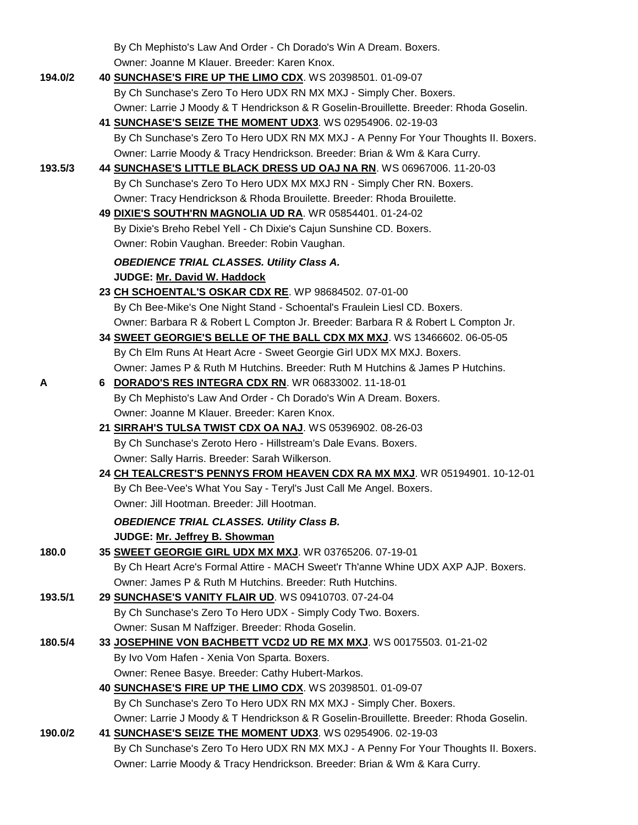By Ch Mephisto's Law And Order - Ch Dorado's Win A Dream. Boxers. Owner: Joanne M Klauer. Breeder: Karen Knox.

| 194.0/2 | 40 SUNCHASE'S FIRE UP THE LIMO CDX. WS 20398501. 01-09-07                                                         |
|---------|-------------------------------------------------------------------------------------------------------------------|
|         | By Ch Sunchase's Zero To Hero UDX RN MX MXJ - Simply Cher. Boxers.                                                |
|         | Owner: Larrie J Moody & T Hendrickson & R Goselin-Brouillette. Breeder: Rhoda Goselin.                            |
|         | 41 SUNCHASE'S SEIZE THE MOMENT UDX3. WS 02954906. 02-19-03                                                        |
|         | By Ch Sunchase's Zero To Hero UDX RN MX MXJ - A Penny For Your Thoughts II. Boxers.                               |
|         | Owner: Larrie Moody & Tracy Hendrickson. Breeder: Brian & Wm & Kara Curry.                                        |
| 193.5/3 | 44 SUNCHASE'S LITTLE BLACK DRESS UD OAJ NA RN. WS 06967006. 11-20-03                                              |
|         | By Ch Sunchase's Zero To Hero UDX MX MXJ RN - Simply Cher RN. Boxers.                                             |
|         | Owner: Tracy Hendrickson & Rhoda Brouilette. Breeder: Rhoda Brouilette.                                           |
|         | 49 DIXIE'S SOUTH'RN MAGNOLIA UD RA. WR 05854401. 01-24-02                                                         |
|         | By Dixie's Breho Rebel Yell - Ch Dixie's Cajun Sunshine CD. Boxers.                                               |
|         | Owner: Robin Vaughan. Breeder: Robin Vaughan.                                                                     |
|         | <b>OBEDIENCE TRIAL CLASSES. Utility Class A.</b>                                                                  |
|         | JUDGE: Mr. David W. Haddock                                                                                       |
|         | 23 CH SCHOENTAL'S OSKAR CDX RE. WP 98684502. 07-01-00                                                             |
|         | By Ch Bee-Mike's One Night Stand - Schoental's Fraulein Liesl CD. Boxers.                                         |
|         | Owner: Barbara R & Robert L Compton Jr. Breeder: Barbara R & Robert L Compton Jr.                                 |
|         | 34 SWEET GEORGIE'S BELLE OF THE BALL CDX MX MXJ. WS 13466602. 06-05-05                                            |
|         | By Ch Elm Runs At Heart Acre - Sweet Georgie Girl UDX MX MXJ. Boxers.                                             |
|         | Owner: James P & Ruth M Hutchins. Breeder: Ruth M Hutchins & James P Hutchins.                                    |
| A       | 6 DORADO'S RES INTEGRA CDX RN. WR 06833002. 11-18-01                                                              |
|         | By Ch Mephisto's Law And Order - Ch Dorado's Win A Dream. Boxers.                                                 |
|         | Owner: Joanne M Klauer. Breeder: Karen Knox.                                                                      |
|         | 21 SIRRAH'S TULSA TWIST CDX OA NAJ. WS 05396902. 08-26-03                                                         |
|         |                                                                                                                   |
|         | By Ch Sunchase's Zeroto Hero - Hillstream's Dale Evans. Boxers.                                                   |
|         | Owner: Sally Harris. Breeder: Sarah Wilkerson.                                                                    |
|         | 24 CH TEALCREST'S PENNYS FROM HEAVEN CDX RA MX MXJ. WR 05194901. 10-12-01                                         |
|         | By Ch Bee-Vee's What You Say - Teryl's Just Call Me Angel. Boxers.<br>Owner: Jill Hootman, Breeder: Jill Hootman, |
|         |                                                                                                                   |
|         | <b>OBEDIENCE TRIAL CLASSES. Utility Class B.</b>                                                                  |
|         | JUDGE: Mr. Jeffrey B. Showman                                                                                     |
| 180.0   | 35 SWEET GEORGIE GIRL UDX MX MXJ. WR 03765206. 07-19-01                                                           |
|         | By Ch Heart Acre's Formal Attire - MACH Sweet'r Th'anne Whine UDX AXP AJP. Boxers.                                |
|         | Owner: James P & Ruth M Hutchins. Breeder: Ruth Hutchins.                                                         |
| 193.5/1 | 29 SUNCHASE'S VANITY FLAIR UD. WS 09410703. 07-24-04                                                              |
|         | By Ch Sunchase's Zero To Hero UDX - Simply Cody Two. Boxers.                                                      |
|         | Owner: Susan M Naffziger. Breeder: Rhoda Goselin.                                                                 |
| 180.5/4 | 33 JOSEPHINE VON BACHBETT VCD2 UD RE MX MXJ. WS 00175503. 01-21-02                                                |
|         | By Ivo Vom Hafen - Xenia Von Sparta. Boxers.                                                                      |
|         | Owner: Renee Basye. Breeder: Cathy Hubert-Markos.                                                                 |
|         | 40 SUNCHASE'S FIRE UP THE LIMO CDX. WS 20398501. 01-09-07                                                         |
|         | By Ch Sunchase's Zero To Hero UDX RN MX MXJ - Simply Cher. Boxers.                                                |
|         | Owner: Larrie J Moody & T Hendrickson & R Goselin-Brouillette. Breeder: Rhoda Goselin.                            |
| 190.0/2 | 41 SUNCHASE'S SEIZE THE MOMENT UDX3. WS 02954906. 02-19-03                                                        |
|         | By Ch Sunchase's Zero To Hero UDX RN MX MXJ - A Penny For Your Thoughts II. Boxers.                               |
|         | Owner: Larrie Moody & Tracy Hendrickson. Breeder: Brian & Wm & Kara Curry.                                        |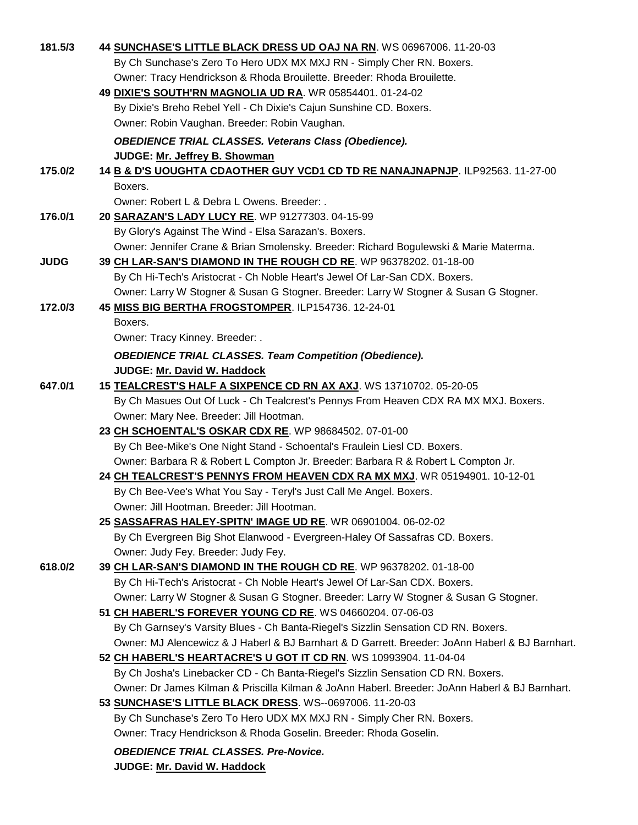| 181.5/3     | 44 SUNCHASE'S LITTLE BLACK DRESS UD OAJ NA RN. WS 06967006. 11-20-03                            |
|-------------|-------------------------------------------------------------------------------------------------|
|             | By Ch Sunchase's Zero To Hero UDX MX MXJ RN - Simply Cher RN. Boxers.                           |
|             | Owner: Tracy Hendrickson & Rhoda Brouilette. Breeder: Rhoda Brouilette.                         |
|             | 49 DIXIE'S SOUTH'RN MAGNOLIA UD RA. WR 05854401. 01-24-02                                       |
|             | By Dixie's Breho Rebel Yell - Ch Dixie's Cajun Sunshine CD. Boxers.                             |
|             | Owner: Robin Vaughan. Breeder: Robin Vaughan.                                                   |
|             | <b>OBEDIENCE TRIAL CLASSES. Veterans Class (Obedience).</b>                                     |
|             | JUDGE: Mr. Jeffrey B. Showman                                                                   |
| 175.0/2     | 14 B & D'S UOUGHTA CDAOTHER GUY VCD1 CD TD RE NANAJNAPNJP. ILP92563. 11-27-00                   |
|             | Boxers.                                                                                         |
|             | Owner: Robert L & Debra L Owens. Breeder: .                                                     |
| 176.0/1     | 20 SARAZAN'S LADY LUCY RE. WP 91277303. 04-15-99                                                |
|             | By Glory's Against The Wind - Elsa Sarazan's. Boxers.                                           |
|             | Owner: Jennifer Crane & Brian Smolensky. Breeder: Richard Bogulewski & Marie Materma.           |
| <b>JUDG</b> | 39 CH LAR-SAN'S DIAMOND IN THE ROUGH CD RE. WP 96378202. 01-18-00                               |
|             | By Ch Hi-Tech's Aristocrat - Ch Noble Heart's Jewel Of Lar-San CDX. Boxers.                     |
|             | Owner: Larry W Stogner & Susan G Stogner. Breeder: Larry W Stogner & Susan G Stogner.           |
| 172.0/3     | 45 MISS BIG BERTHA FROGSTOMPER. ILP154736. 12-24-01                                             |
|             | Boxers.                                                                                         |
|             | Owner: Tracy Kinney. Breeder: .                                                                 |
|             |                                                                                                 |
|             | <b>OBEDIENCE TRIAL CLASSES. Team Competition (Obedience).</b><br>JUDGE: Mr. David W. Haddock    |
| 647.0/1     | 15 TEALCREST'S HALF A SIXPENCE CD RN AX AXJ. WS 13710702. 05-20-05                              |
|             | By Ch Masues Out Of Luck - Ch Tealcrest's Pennys From Heaven CDX RA MX MXJ. Boxers.             |
|             | Owner: Mary Nee. Breeder: Jill Hootman.                                                         |
|             | 23 CH SCHOENTAL'S OSKAR CDX RE. WP 98684502. 07-01-00                                           |
|             | By Ch Bee-Mike's One Night Stand - Schoental's Fraulein Liesl CD. Boxers.                       |
|             | Owner: Barbara R & Robert L Compton Jr. Breeder: Barbara R & Robert L Compton Jr.               |
|             | 24 CH TEALCREST'S PENNYS FROM HEAVEN CDX RA MX MXJ. WR 05194901. 10-12-01                       |
|             | By Ch Bee-Vee's What You Say - Teryl's Just Call Me Angel. Boxers.                              |
|             | Owner: Jill Hootman. Breeder: Jill Hootman.                                                     |
|             | 25 SASSAFRAS HALEY-SPITN' IMAGE UD RE. WR 06901004. 06-02-02                                    |
|             | By Ch Evergreen Big Shot Elanwood - Evergreen-Haley Of Sassafras CD. Boxers.                    |
|             | Owner: Judy Fey. Breeder: Judy Fey.                                                             |
| 618.0/2     | 39 CH LAR-SAN'S DIAMOND IN THE ROUGH CD RE. WP 96378202. 01-18-00                               |
|             | By Ch Hi-Tech's Aristocrat - Ch Noble Heart's Jewel Of Lar-San CDX. Boxers.                     |
|             | Owner: Larry W Stogner & Susan G Stogner. Breeder: Larry W Stogner & Susan G Stogner.           |
|             | 51 CH HABERL'S FOREVER YOUNG CD RE. WS 04660204. 07-06-03                                       |
|             | By Ch Garnsey's Varsity Blues - Ch Banta-Riegel's Sizzlin Sensation CD RN. Boxers.              |
|             | Owner: MJ Alencewicz & J Haberl & BJ Barnhart & D Garrett. Breeder: JoAnn Haberl & BJ Barnhart. |
|             | 52 CH HABERL'S HEARTACRE'S U GOT IT CD RN. WS 10993904. 11-04-04                                |
|             | By Ch Josha's Linebacker CD - Ch Banta-Riegel's Sizzlin Sensation CD RN. Boxers.                |
|             | Owner: Dr James Kilman & Priscilla Kilman & JoAnn Haberl. Breeder: JoAnn Haberl & BJ Barnhart.  |
|             | 53 SUNCHASE'S LITTLE BLACK DRESS. WS--0697006. 11-20-03                                         |
|             | By Ch Sunchase's Zero To Hero UDX MX MXJ RN - Simply Cher RN. Boxers.                           |
|             | Owner: Tracy Hendrickson & Rhoda Goselin. Breeder: Rhoda Goselin.                               |
|             |                                                                                                 |
|             | <b>OBEDIENCE TRIAL CLASSES. Pre-Novice.</b>                                                     |
|             | <b>JUDGE: Mr. David W. Haddock</b>                                                              |